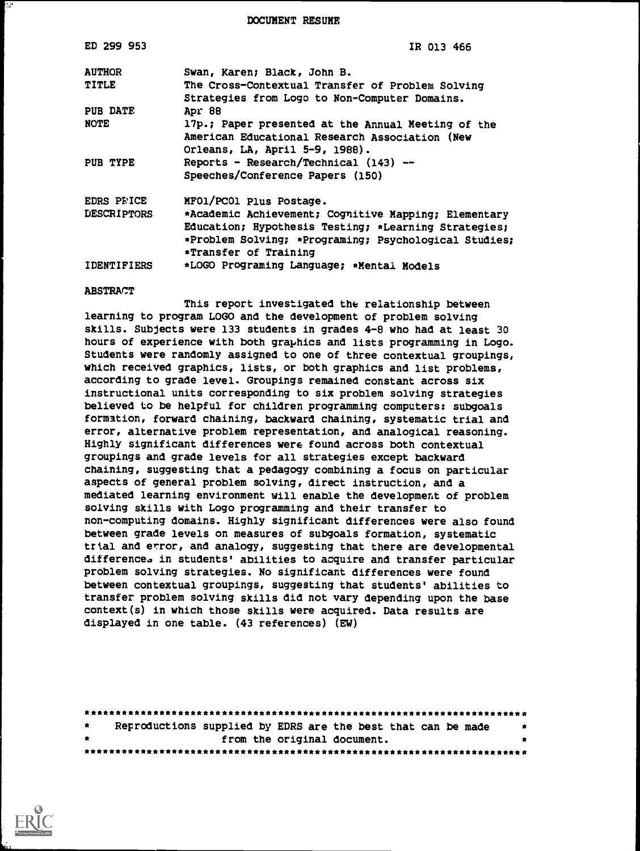DOCUMENT RESUME

| ED 299 953         | IR 013 466                                            |
|--------------------|-------------------------------------------------------|
| <b>AUTHOR</b>      | Swan, Karen; Black, John B.                           |
| TITLE              | The Cross-Contextual Transfer of Problem Solving      |
|                    | Strategies from Logo to Non-Computer Domains.         |
| <b>PUB DATE</b>    | Apr 88                                                |
| <b>NOTE</b>        | 17p.; Paper presented at the Annual Meeting of the    |
|                    | American Educational Research Association (New        |
|                    | Orleans, LA, April 5-9, 1988).                        |
| PUB TYPE           | Reports - Research/Technical (143) --                 |
|                    | Speeches/Conference Papers (150)                      |
| <b>EDRS PRICE</b>  | MFO1/PC01 Plus Postage.                               |
| <b>DESCRIPTORS</b> | *Academic Achievement; Cognitive Mapping; Elementary  |
|                    | Education; Hypothesis Testing; *Learning Strategies;  |
|                    | *Problem Solving; *Programing; Psychological Studies; |
|                    | *Transfer of Training                                 |
| <b>IDENTIFIERS</b> | *LOGO Programing Language; *Mental Models             |
| <b>ABSTRACT</b>    |                                                       |

This report investigated the relationship between learning to program LOGO and the development of problem solving skills. Subjects were 133 students in grades 4-8 who had at least 30 hours of experience with both graphics and lists programming in Logo. Students were randomly assigned to one of three contextual groupings, which received graphics, lists, or both graphics and list problems, according to grade level. Groupings remained constant across six instructional units corresponding to six problem solving strategies believed to be helpful for children programming computers: subgoals formation, forward chaining, backward chaining, systematic trial and error, alternative problem representation, and analogical reasoning. Highly significant differences were found across both contextual groupings and grade levels for all strategies except backward chaining, suggesting that a pedagogy combining a focus on particular aspects of general problem solving, direct instruction, and a mediated learning environment will enable the development of problem solving skills with Logo programming and their transfer to non-computing domains. Highly significant differences were also found between grade levels on measures of subgoals formation, systematic trial and error, and analogy, suggesting that there are developmental differences in students' abilities to acquire and transfer particular problem solving strategies. No significant differences were found between contextual groupings, suggesting that students' abilities to transfer problem solving skills did not vary depending upon the base context(s) in which those skills were acquired. Data results are displayed in one table. (43 references) (EW)

|     |  | Reproductions supplied by EDRS are the best that can be made | - 15 |
|-----|--|--------------------------------------------------------------|------|
| * . |  | from the original document.                                  | *    |
|     |  |                                                              |      |



۱.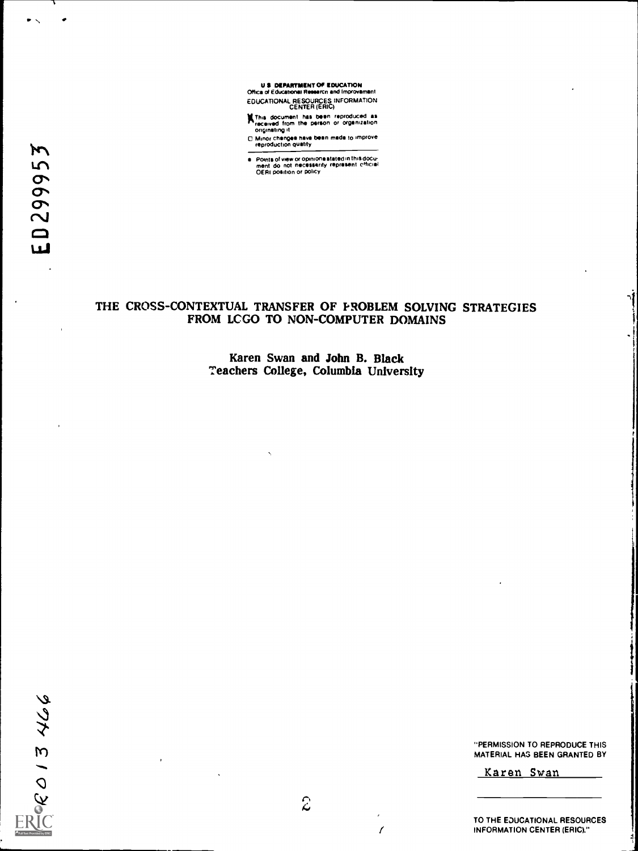

XThis document Ms been reproduced as received from the person or organization originating it

O Minor changes have been made to improve<br>
10 Minor changes have been made to improve<br>
10 Minor changes have been made to improve

Points of view or opinions stated in this docu- ment do not necessarily represent Oficial OERI position or policy

### THE CROSS-CONTEXTUAL TRANSFER OF PROBLEM SOLVING STRATEGIES FROM LCGO TO NON-COMPUTER DOMAINS

Karen Swan and John B. Black Teachers College, Columbia University

277 2128

"PERMISSION TO REPRODUCE THIS MATERIAL HAS BEEN GRANTED BY

Karen Swan

TO THE EDUCATIONAL RESOURCES INFORMATION CENTER (ERIC)."

/

 $\blacksquare$ 

 $\mathbf{V}$ vi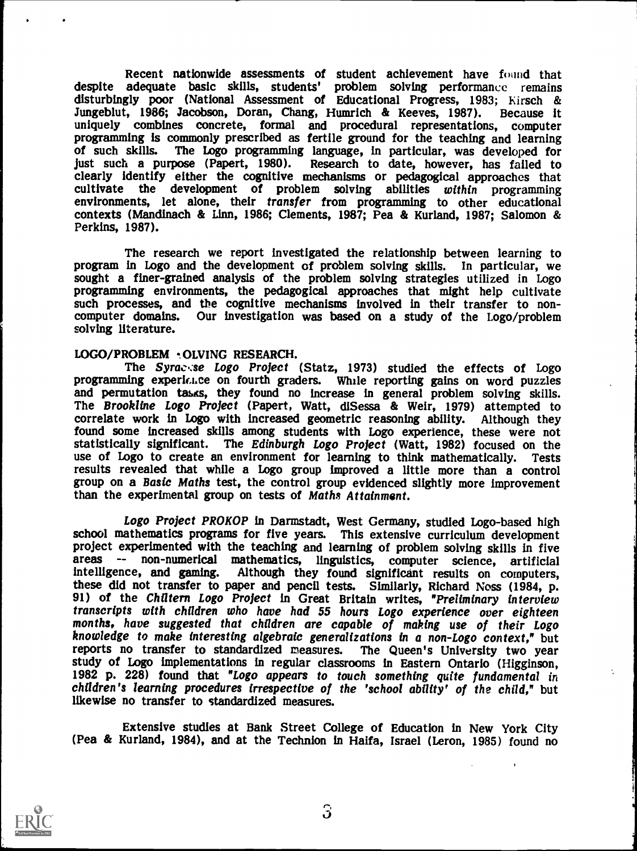Recent nationwide assessments of student achievement have found that despite adequate basic skills, students' problem solving performance remains disturbingly poor (National Assessment of Educational Progress, 1983; Kirsch & Jungeblut, 1986; Jacobson, Doran, Chang, Humrich & Keeves, 1987). Because it Jungeblut, 1986; Jacobson, Doran, Chang, Humrich & Keeves, 1987). Because it uniquely combines concrete, formal and procedural representations, computer programming is commonly prescribed as fertile ground for the teaching and learning of such skills. The Logo programming language, in particular, was developed for just such a purpose (Papert, 1980). Research to date, however, has failed to clearly identify either the cognitive mechanisms or pedagogical approaches that cultivate the development of problem solving abilities within programming environments, let alone, their transfer from programming to other educational contexts (Mandinach & Linn, 1986; Clements, 1987; Pea & Kurland, 1987; Salomon & Perkins, 1987).

The research we report investigated the relationship between learning to program in Logo and the development of problem solving skills. In particular, we sought a finer-grained analysis of the problem solving strategies utilized in Logo programming environments, the pedagogical approaches that might help cultivate such processes, and the cognitive mechanisms involved in their transfer to non-<br>computer domains. Our investigation was based on a study of the Logo/problem Our investigation was based on a study of the Logo/problem solving literature.

### LOGO/PROBLEM OLVING RESEARCH.

The Syrace:se Logo Project (Statz, 1973) studied the effects of Logo programming experience on fourth graders. While reporting gains on word puzzles and permutation tasks, they found no increase in general problem solving skills.<br>The Brookline Logo Project (Papert, Watt, diSessa & Weir, 1979) attempted to correlate work in Logo with increased geometric reasoning ability. Although they statistically significant. The Edinburgh Logo Project (Watt, 1982) focused on the use of Logo to create an environment for learning to think mathematically. Tests results revealed that while a Logo group improved a little group on a Basic Maths test, the control group evidenced slightly more improvement than the experimental group on tests of Maths Attainment.

Logo Project PROKOP in Darmstadt, West Germany, studied Logo-based high school mathematics programs for five years. This extensive curriculum development project experimented with the teaching and learning of problem solving skills in five areas -- non-numerical mathematics, linguistics, computer science, artificial intelligence, and gaming. Although they found significant results on computers, these did not transfer to paper and pencil tests. Similarly, Richard Noss (1984, p. 91) of the Chiltern Logo Project in Great Britain writes, "Preliminary interview transcripts with children who have had 55 hours Logo expe transcripts with children are capable of making use of their Logo<br>months, have suggested that children are capable of making use of their Logo<br>knowledge to make interesting algebraic generalizations in a non-Logo context," reports no transfer to standardized measures. The Queen's University two year<br>study of Logo implementations in regular classrooms in Eastern Ontario (Higginson,<br>1982 p. 228) found that "Logo appears to touch something quit likewise no transfer to standardized measures.

Extensive studies at Bank Street College of Education in New York City (Pea & Kurland, 1984), and at the Technion in Haifa, Israel (Leron, 1985) found no



 $\overline{3}$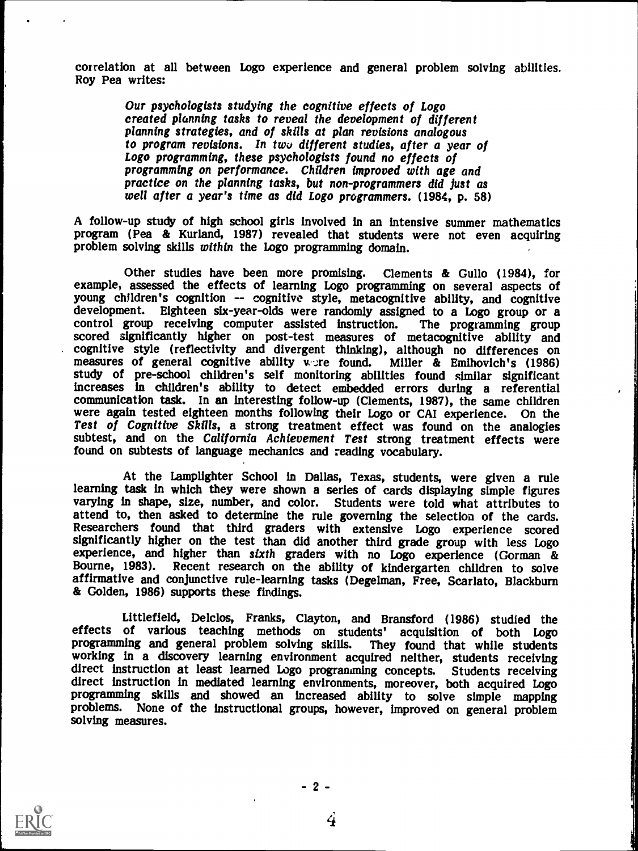correlation at all between Logo experience and general problem solving abilities. Roy Pea writes:

Our psychologists studying the cognitive effects of Logo<br>created planning tasks to reveal the development of different planning strategies, and of skills at plan revisions analogous<br>to program revisions. In two different studies, after a year of Logo programming, these psychologists found no effects of<br>programming on performance. Children improved with age and practice on the planning tasks, but non-programmers did just as well after a year's time as did Logo programmers. (1984, p. 58)

A follow-up study of high school girls involved in an intensive summer mathematics program (Pea & Kurland, 1987) revealed that students were not even acquiring problem solving skills within the Logo programming domain.

Other studies have been more promising. Clements & Gullo (1984), for<br>example, assessed the effects of learning Logo programming on several aspects of<br>young children's cognition -- cognitive style, metacognitive ability, an development. Eighteen six-year-olds were randomly assigned to a Logo group or a control group receiving computer assisted instruction. The programming group scored significantly higher on post-test measures of metacognitive ability and cognitive style (reflectivity and divergent thinking), although no differences on measures of general cognitive ability were found. Miller & Emihovich's (1986) study of pre-school children's self monitoring abilities foun increases in children's ability to detect embedded errors during a referential were again tested eighteen months following their Logo or CAI experience. On the Test of Cognitive Skills, a strong treatment effect was found on the analogies subtest, and on the California Achievement Test strong treatment effects were found on subtests of language mechanics and reading vocabulary.

At the Lamplighter School in Dallas, Texas, students, were given a rule learning task in which they were shown a series of cards displaying simple figures varying in shape, size, number, and color. Students were told what attributes to attend to, then asked to determine the rule governing the selection of the cards. Researchers found that third graders with extensive Logo experience scored significantly higher on the test than did another third grade group with less Logo experience, and higher than sixth graders with no Logo experience (Gorman & Bourne, 1983). Recent research on the ability of kindergarten children to solve affirmative and conjunctive rule-learning tasks (Degelman, Free, Scarlato, Blackburn & Golden, 1986) supports these findings.

Littlefield, Delclos, Franks, Clayton, and Bransford (1986) studied the effects of various teaching methods on students' acquisition of both Logo programming and general problem solving skills. They found that while students working in a discovery learning environment acquired neither, student direct instruction at least learned Logo programming concepts. Students receiving direct instruction in mediated learning environments, moreover, both acquired Logo programming skills and showed an increased ability to solve simple mapping problems. None of the instructional groups, however, improved on general problem solving measures.



 $-2-$ 

4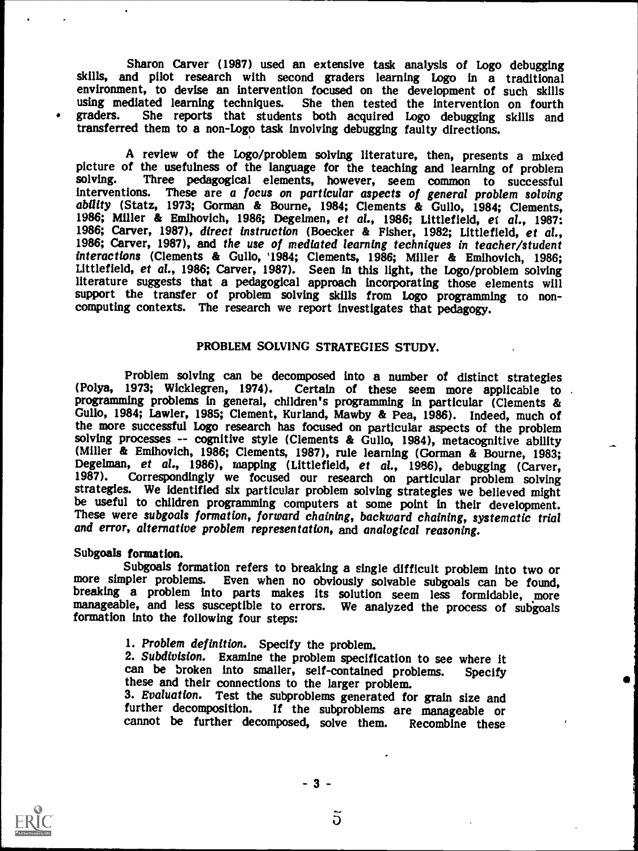Sharon Carver (1987) used an extensive task analysis of Logo debugging skills, and pilot research with second graders learning Logo in a traditional environment, to devise an intervention focused on the development of such skills using mediated learning techniques. She then tested the intervention on fourth graders. She reports that students both acquired Logo debugging skills and She reports that students both acquired Logo debugging skills and transferred them to a non-Logo task involving debugging faulty directions.

A review of the Logo/problem solving literature, then, presents a mixed picture of the usefulness of the language for the teaching and learning of problem solving. Three pedagogical elements, however, seem common to successful interventions. These are a focus on particular aspects of general problem solving ability (Statz, 1973; Gorman & Bourne, 1984; Clements & Gullo, 1984; Clements, 1986; Miller & Emihovich, 1986; Degelmen, et al., 1986; Littlefield, et al., 1987: 1986; Carver, 1987), direct instruction (Boecker & Fisher, 1 Littlefield, et al., 1986; Carver, 1987). Seen in this light, the Logo/problem solving literature suggests that a pedagogical approach incorporating those elements will support the transfer of problem solving skills from Logo programming to non-computing contexts. The research we report investigates that pedagogy.

### PROBLEM SOLVING STRATEGIES STUDY.

Problem solving can be decomposed into a number of distinct strategies (Polya, 1973; Wicklegren, 1974). Certain of these seem more applicable to Certain of these seem more applicable to programming problems in general, children's programming in particular (Clements & Guilo, 1984; Lawler, 1985; Clement, Kurland, Mawby & Pea, 1986). Indeed, much of the more successful Logo research has focused on particular aspects of the problem solving processes -- cognitive style (Clements & Gullo, 1984), metacognitive ability (Miller & Emihovich, 1986; Clements, 1987), rule learning (Gorman & Bourne, 1983; Degelman, et al., 1986), mapping (Littlefield, et al., 1986), debugging (Carver, 1987). Correspondingly we focused our research on particular problem solving strategies. We identified six particular problem solving strateg be useful to children programming computers at some point in their development.<br>These were subgoals formation, forward chaining, backward chaining, systematic trial<br>and error, alternative problem representation, and analog

Subgoals formation.<br>Subgoals formation refers to breaking a single difficult problem into two or more simpler problems. Even when no obviously solvable subgoals can be found, breaking a problem into parts makes its solution seem less formidable, more manageable, and less susceptible to errors. We analyzed the process formation into the following four steps:

1. Problem definition. Specify the problem.<br>
2. Subdivision. Examine the problem specification to see where it<br>
can be broken into smaller, self-contained problems. Specify<br>
these and their connections to the larger proble

3. Evaluation. Test the subproblems generated for grain size and further decomposition. If the subproblems are manageable or cannot be further decomposed, solve them. Recombine these



5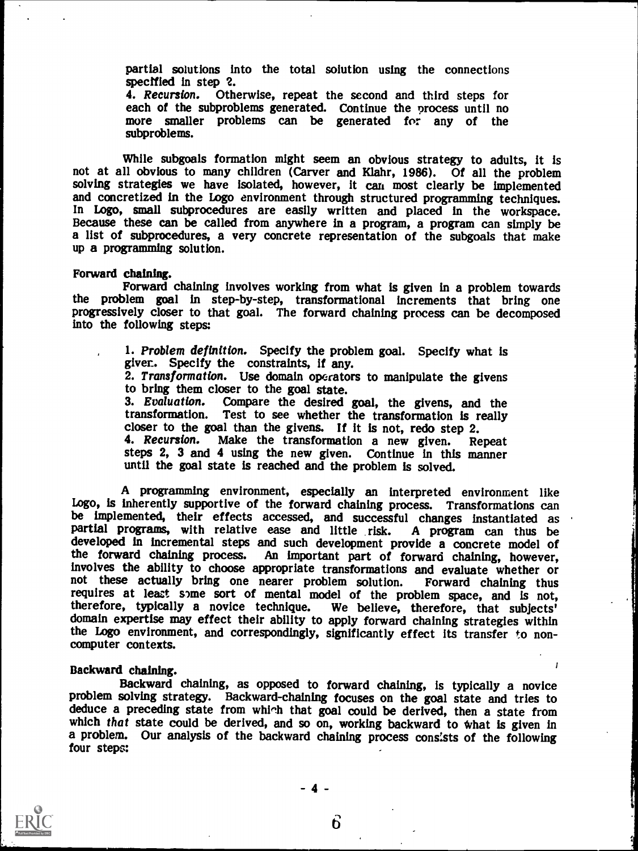partial solutions into the total solution using the connections specified in step 2.<br>4. Recursion. Otherwise, repeat the second and third steps for

each of the subproblems generated. Continue the process until no more smaller problems can be generated for any of the subproblems.

While subgoals formation might seem an obvious strategy to adults, it is not at all obvious to many children (Carver and Klahr, 1986). Of all the problem solving strategies we have isolated, however, it can most clearly be implemented and concretized in the Logo environment through structured programming techniques. In Logo, small subprocedures are easily written and placed in the workspace.<br>Because these can be called from anywhere in a program, a program can simply be<br>a list of subprocedures, a very concrete representation of the su

### Forward chaining.

Forward chaining involves working from what is given in a problem towards<br>the problem goal in step-by-step, transformational increments that bring one progressively closer to that goal. The forward chaining process can be decomposed into the following steps:

> 1. Problem definition. Specify the problem goal. Specify what is giver. Specify the constraints, if any.<br>2. Transformation. Use domain operators to manipulate the givens to bring them closer to the goal state. 3. Evaluation. Compare the desired goal, the givens, and the transformation. Test to see whether the transformation is really transformation. Test to see whether the transformation is really closer to the goal than the givens. If it is not, redo step 2. 4. Recursion. Make the transformation a new given. Repeat steps 2, 3 and 4 using the new given. Continue in this manner until the goal state is reached and the problem is solved.

A programming environment, especially an interpreted environment like Logo, is inherently supportive of the forward chaining process. Transformations can be implemented, their effects accessed, and successful changes instantiated as partial programs, with relative ease and little risk. A program can thus be developed in incremental steps and such development provide a concrete model of the forward chaining process. An important part of forward chaining, however, involves the ability to choose appropriate transformations and evaluate whether or not these actually bring one nearer problem solution. Forward chaining thus requires at least some sort of mental model of the problem space, and is not, therefore, typically a novice technique. We believe, therefore, that subjects' domain expertise may effect their ability to apply forward chaining strategies within the Logo environment, and correspondingly, significantly effect its transfer to noncomputer contexts.

Backward chaining.<br>Backward chaining, as opposed to forward chaining, is typically a novice<br>problem solving strategy. Backward-chaining focuses on the goal state and tries to deduce a preceding state from which that goal could be derived, then a state from which that state could be derived, and so on, working backward to what is given in a problem. Our analysis of the backward chaining process consists of the following four steps:



 $4 -$ 

6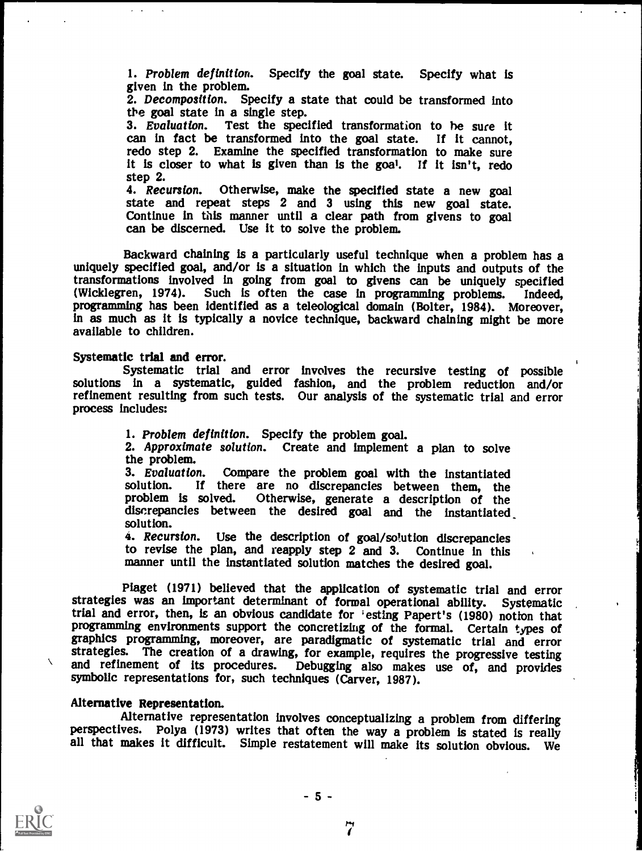1. Problem definition. Specify the goal state. Specify what is given in the problem.

2. Decomposition. Specify a state that could be transformed into the goal state in a single step.

3. Evaluation. Test the specified transformation to he sure it can in fact be transformed into the goal state. If it cannot, redo step 2. Examine the specified transformation to make sure it is closer to what is given than is the goal. If it isn't, redo step 2.<br>4. *Recursion*.

4. Recursion. Otherwise, make the specified state a new goal state and repeat steps 2 and 3 using this new goal state. Continue in this manner until a clear path from givens to goal can be discerned. Use it to solve the problem.

Backward chaining is a particularly useful technique when a problem has a uniquely specified goal, and/or is a situation in which the inputs and outputs of the transformations involved in going from goal to givens can be uniquely specified (Wicklegren, 1974). Such is often the case in programming problems. Indeed, (Wicklegren, 1974). Such is often the case in programming problems. Indeed, programming has been identified as a teleological domain (Bolter, 1984). Moreover, in as much as it is typically a novice technique, backward chai available to children.

### Systematic trial and error.

Systematic trial and error involves the recursive testing of possible solutions in a systematic, guided fashion, and the problem reduction and/or refinement resulting from such tests. Our analysis of the systematic trial and error process includes:

1. Problem definition. Specify the problem goal.<br>2. Approximate solution. Create and implement a plan to solve<br>the problem.

3. Evaluation. Compare the problem goal with the instantiated solution. If there are no discrepancies between them, the solution. If there are no discrepancies between them, the problem is solved. Otherwise, generate a description of the discrepancies between the desired goal and the instantiated solution.

4. Recursion. Use the description of goal/solution discrepancies to revise the plan, and reapply step 2 and 3. Continue in this manner until the instantiated solution matches the desired goal.

Piaget (1971) believed that the application of systematic trial and error strategies was an important determinant of formal operational ability. trial and error, then, is an obvious candidate for 'esting Papert's (1980) notion that graphics programming, moreover, are paradigmatic of systematic trial and error strategies. The creation of a drawing, for example, requires the progressive testing and refinement of its procedures. Debugging also makes use Debugging also makes use of, and provides symbolic representations for, such techniques (Carver, 1987).

### Alternative Representation.

Alternative representation involves conceptualizing a problem from differing perspectives. Polya (1973) writes that often the way a problem is stated is really all that makes it difficult. Simple restatement will make its solution obvious. We



 $\sqrt{2}$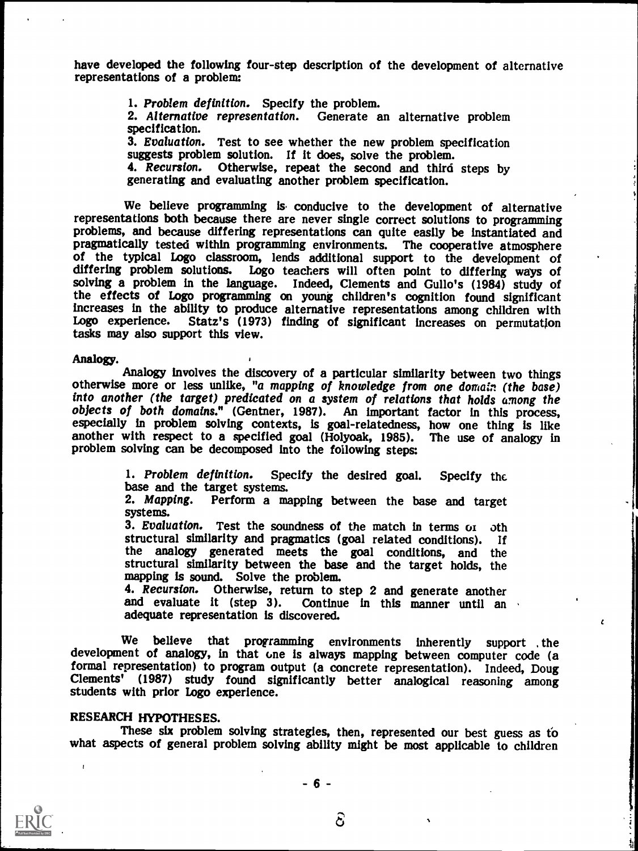have developed the following four-step description of the development of alternative representations of a problem:

> 1. Problem definition. Specify the problem.<br>2. Alternative representation. Generate an alternative problem specification. 3. Evaluation. Test to see whether the new problem specification suggests problem solution. If it does, solve the problem. 4. Recursion. Otherwise, repeat the second and third steps by generating and evaluating another problem specification.

We believe programming is conducive to the development of alternative representations both because there are never single correct solutions to programming problems, and because differing representations can quite easily be instantiated and of the typical Logo classroom, lends additional support to the development of differing problem solutions. Logo teachers will often point to differing ways of solving a problem in the language. Indeed, Clements and Gullo's the effects of Logo programming on young children's cognition found significant increases in the ability to produce alternative representations among children with Logo experience. Statz's (1973) finding of significant increases on permutation tasks may also support this view.

Analogy.<br>Analogy involves the discovery of a particular similarity between two things otherwise more or less unlike, "a mapping of knowledge from one domain (the base) into another (the target) predicated on a system of relations that holds among the objects of both domains." (Gentner, 1987). An important factor in this process, especially in problem solving contexts, is goal-relatedness, how one thing is like another with respect to a specified goal (Holyoak, 1985). The use of analogy in problem solving can be decomposed into the following steps:

1. Problem definition. Specify the desired goal. Specify the base and the target systems. 2. Mapping. Perform a mapping between the base and target

systems.

3. Evaluation. Test the soundness of the match in terms or oth structural similarity and pragmatics (goal related conditions). If the analogy generated meets the goal conditions, and the structural similarity between the base and the target holds, the

mapping is sound. Solve the problem.<br>4. Recursion. Otherwise, return to step 2 and generate another and evaluate it (step 3). Continue in this manner until an adequate representation is discovered.

 $\epsilon$ 

We believe that programming environments inherently support , the development of analogy, in that one is always mapping between computer code (a formal representation) to program output (a concrete representation). Indeed, Doug Clements' (1987) study found significantly better analogical reasoning among students with prior Logo experience.

RESEARCH HYPOTHESES.<br>These six problem solving strategies, then, represented our best guess as to what aspects of general problem solving ability might be most applicable to children



වි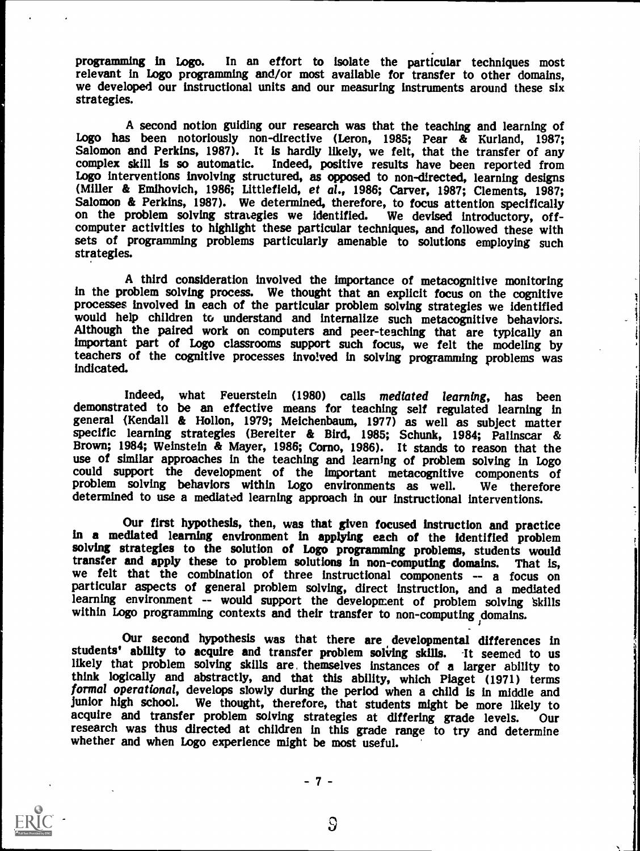programming in Logo. In an effort to isolate the particular techniques most relevant in Logo programming and/or most available for transfer to other domains, we developed our instructional units and our measuring instrumen strategies.

A second notion guiding our research was that the teaching and learning of Logo has been notoriously non-directive (Leron, 1985; Pear & Kurland, 1987; Salomon and Perkins, 1987). It is hardly likely, we felt, that the transfer of any complex skill is so automatic. Indeed, positive results have been reported from Logo interventions involving structured, as opposed to non-directed, learning designs (Miller & Emihovich, 1986; Littlefield, et al., 1986; Carver, 1987; Clements, 1987; Salomon & Perkins, 1987). We determined, therefore, to focus attention specifically on the problem solving strategies we identified. We devised introductory, off-<br>computer activities to highlight these particular techniques, and followed these with sets of programming problems particularly amenable to solutions employing such strategies.

A third consideration involved the importance of metacognitive monitoring<br>in the problem solving process. We thought that an explicit focus on the cognitive processes involved in each of the particular problem solving strategies we identified would help children to understand and internalize such metacognitive behaviors.<br>Although the paired work on computers and peer-teaching important part of Logo classrooms support such focus, we felt the modeling by teachers of the cognitive processes involved in solving programming problems was indicated.

Indeed, what Feuerstein (1980) calls mediated learning, has been demonstrated to be an effective means for teaching self regulated learning in general (Kendall & Hollon, 1979; Meichenbaum, 1977) as well as subject matter specific learning strategies (Bereiter & Bird, 1985; Schunk, 1984; Palinscar & Brown; 1984; Weinstein & Mayer, 1986; Corno, 1986). It stands to reason that the use of similar approaches in the teaching and learning of problem solving in Logo could support the development of the important metacognitive components of problem solving behaviors within Logo environments as well. We therefore determined to use a mediated learning approach in our instructional interventions.

Our first hypothesis, then, was that given focused instruction and practice in a mediated learning environment in applying each of the identified problem solving strategies to the solution of Logo programming problems, students would transfer and apply these to problem solutions in non-computing domains. That is, transfer and apply these to problem solutions in non-computing domains. That is, we felt that the combination of three instructional components -- a focus on particular aspects of general problem solving, direct instruction, and a mediated within Logo programming contexts and their transfer to non-computing domains.

Our second hypothesis was that there are developmental differences in students' ability to acquire and transfer problem solving skills. It seemed to us likely that problem solving skills are, themselves instances of a larger ability to think logically and abstractly, and that this ability, which Piaget (1971) terms formal operational, develops slowly during the period when a child is in middle and junior high school. We thought, therefore, that students might be more likely to acquire and transfer problem solving strategies at differing grade levels. Our acquire and transfer problem solving strategies at differing grade levels. Our research was thus directed at children in this grade range to try and determine whether and when Logo experience might be most useful.



 $-7 -$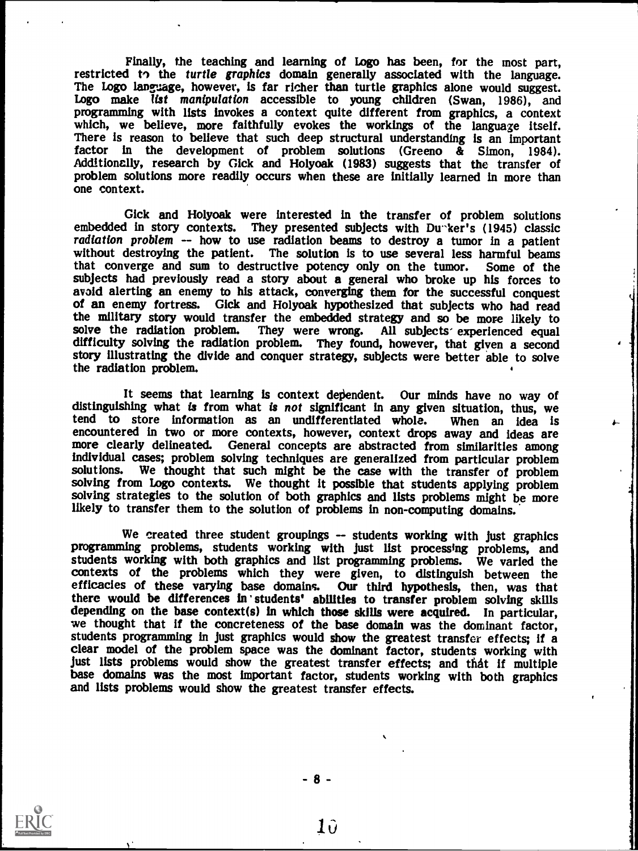Finally, the teaching and learning of Logo has been, for the most part, restricted to the *turtle graphics* domain generally associated with the language. The Logo language, however, is far richer than turtle graphics alon which, we believe, more faithfully evokes the workings of the language itself.<br>There is reason to believe that such deep structural understanding is an important factor in the development of problem solutions (Greeno & Simon, 1984).<br>Additionally, research by Gick and Holyoak (1983) suggests that the transfer of problem solutions more readily occurs when these are initially learned in more than one context.

Gick and Holyoak were interested in the transfer of problem solutions embedded in story contexts. They presented subjects with Du-ker's (1945) classic radiation problem -- how to use radiation beams to destroy a tumor in a without destroying the patient. The solution is to use several less harmful beams that converge and sum to destructive potency only on the tumor. Some of the that converge and sum to destructive potency only on the tumor. subjects had previously read a story about a general who broke up his forces to avoid alerting an enemy to his attack, converging them for the successful conquest of an enemy fortress. Gick and Holyoak hypothesized that subjects who had read the military story would transfer the embedded strategy and so be more likely to solve the radiation problem. They were wrong. All subjects experienced equal difficulty solving the radiation problem. They found, however, that given a second story illustrating the divide and conquer strategy, subjects were better able to solve the radiation problem.

It seems that learning is context dependent. Our minds have no way of distinguishing what is from what is not significant in any given situation, thus, we tend to store information as an undifferentiated whole. When an ide tend to store information as an undifferentiated whole. When an idea is encountered in two or more contexts, however, context drops away and ideas are more clearly delineated. General concepts are abstracted from similarities among individual cases; problem solving techniques are generalized from particular problem We thought that such might be the case with the transfer of problem solving from Logo contexts. We thought it possible that students applying problem solving strategies to the solution of both graphics and lists problems might be more likely to transfer them to the solution of problems in non-computing domains.

We created three student groupings -- students working with just graphics programming problems, students working with just list processing problems, and students working with both graphics and list programming problems. We varied the contexts of the problems which they were given, to distinguish between the efficacies of these varying base domains. Our third hypothesis, then, was that efficacies of these varying base domains. there would be differences in students' abilities to transfer problem solving skills depending on the base context(s) in which those skills were acquired. In particular, we thought that if the concreteness of the base domain was the dominant factor, students programming in just graphics would show the greatest transfer effects; if a clear model of the problem space was the dominant factor, students working with<br>just lists problems would show the greatest transfer effects; and that if multiple base domains was the most important factor, students working with both graphics and lists problems would show the greatest transfer effects.



- 8 -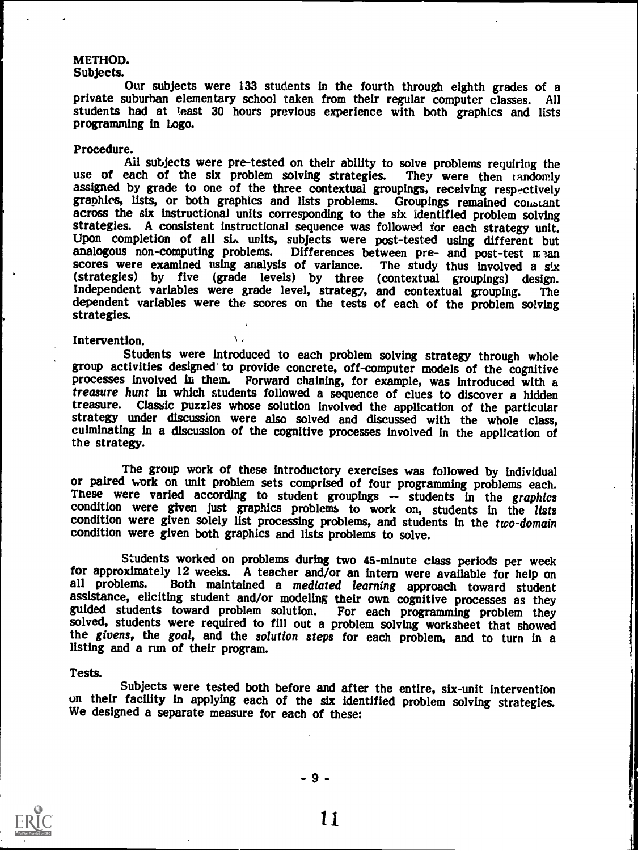# METHOD.<br>Subjects.

Our subjects were 133 students in the fourth through eighth grades of a private suburban elementary school taken from their regular computer classes. All students had at least 30 hours previous experience with both graphics and lists programming in Logo.

Procedure.<br>Ail subjects were pre-tested on their ability to solve problems requiring the use of each of the six problem solving strategies. They were then randomly assigned by grade to one of the three contextual groupings, receiving respectively graphics, lists, or both graphics and lists problems. Groupings remained constant across the six instructional units corresponding to the six identified problem solving strategies. A consistent instructional sequence was f Upon completion of all six units, subjects were post-tested using different but analogous non-computing problems. Differences between pre- and post-test  $m$  and scores were examined using analysis of variance. The study t scores were examined using analysis of variance. (strategies) by five (grade levels) by three (contextual groupings) design. Independent variables were grade level, strategy, and contextual grouping. The dependent variables were the scores on the tests of each of the problem solving strategies.

Intervention.<br>Students were introduced to each problem solving strategy through whole group activities designed to provide concrete, off-computer models of the cognitive processes involved in them. Forward chaining, for example, was introduced with a treasure hunt in which students followed a sequence of clues to discover a hidden<br>treasure. Classic puzzles whose solution involved the application of the particular strategy under discussion were also solved and discussed with the whole class, culminating in a discussion of the cognitive processes involved in the application of the strategy.

The group work of these introductory exercises was followed by individual<br>or paired work on unit problem sets comprised of four programming problems each.<br>These were varied according to student groupings -- students in the condition were given solely list processing problems, and students in the two-domain condition were given both graphics and lists problems to solve.

Students worked on problems during two 45-minute class periods per week for approximately 12 weeks. A teacher and/or an intern were available for help on all problems. Both maintained a mediated learning approach toward student assistance, eliciting student and/or modeling their own cognitive processes as they guided students toward problem solution. For each programming problem they solved, students were required to fill out a problem solving worksheet that showed the givens, the goal, and the solution steps for each problem, and to turn in a listing and a run of their program.

### Tests.

Subjects were tested both before and after the entire, six-unit intervention on their facility in applying each of the six identified problem solving strategies. We designed a separate measure for each of these:

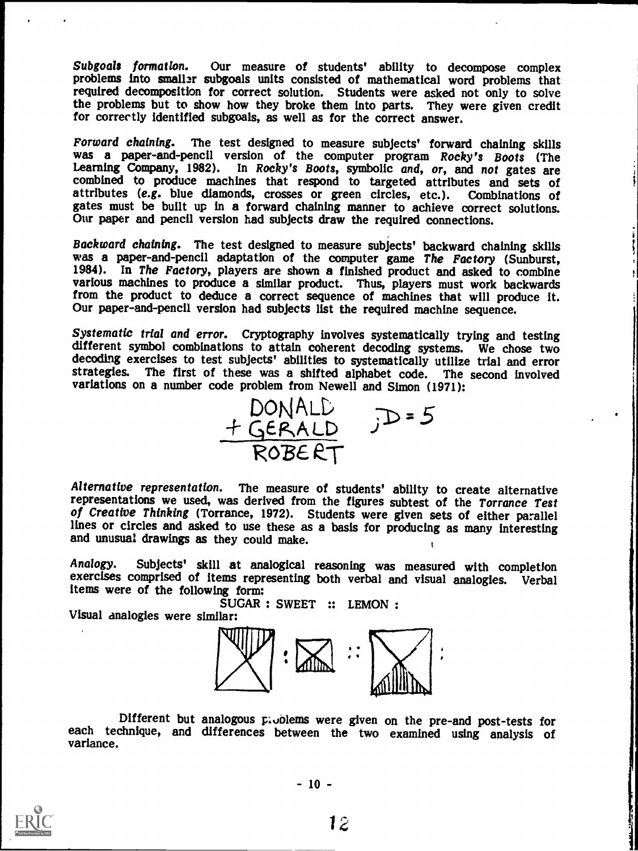Subgoals formation. Our measure of students' ability to decompose complex problems into smaller subgoals units consisted of mathematical word problems that required decomposition for correct solution. Students were asked not only to solve the problems but to show how they broke them into parts. They were given credit for correctly identified subgoals, as well as for the correct answer.

Forward chaining. The test designed to measure subjects' forward chaining skills was a paper-and-pencil version of the computer program Rocky's Boots (The Learning Company, 1982). In Rocky's Boots, symbolic and, or, and no gates must be built up in a forward chaining manner to achieve correct solutions. Our paper and pencil version had subjects draw the required connections.

Backward chaining. The test designed to measure subjects' backward chaining skills was a paper-and-pencil adaptation of the computer game The Factory (Sunburst, 1984). In The Factory, players are shown a finished product a from the product to deduce a correct sequence of machines that will produce it. Our paper-and-pencil version had subjects list the required machine sequence.

Systematic trial and error. Cryptography involves systematically trying and testing different symbol combinations to attain coherent decoding systems. We chose two decoding exercises to test subjects' abilities to systematically utilize trial and error strategies. The first of these was a shifted alphabet code. The second involved variations on a number code problem from Newell and Simon (1971):



Alternative representation. The measure of students' ability to create alternative representations we used, was derived from the figures subtest of the Torrance Test of Creative Thinking (Torrance, 1972). Students were given sets of either parallel lines or circles and asked to use these as a basis for producing as many interesting and unusual drawings as they could make. I

Analogy. Subjects' skill at analogical reasoning was measured with completion exercises comprised of items representing both verbal and visual analogies. Verbal items were of the following form:

SUGAR : SWEET :: LEMON : Visual analogies were similar:



Different but analogous problems were given on the pre-and post-tests for each technique, and differences between the two examined using analysis of variance.



 $-10 -$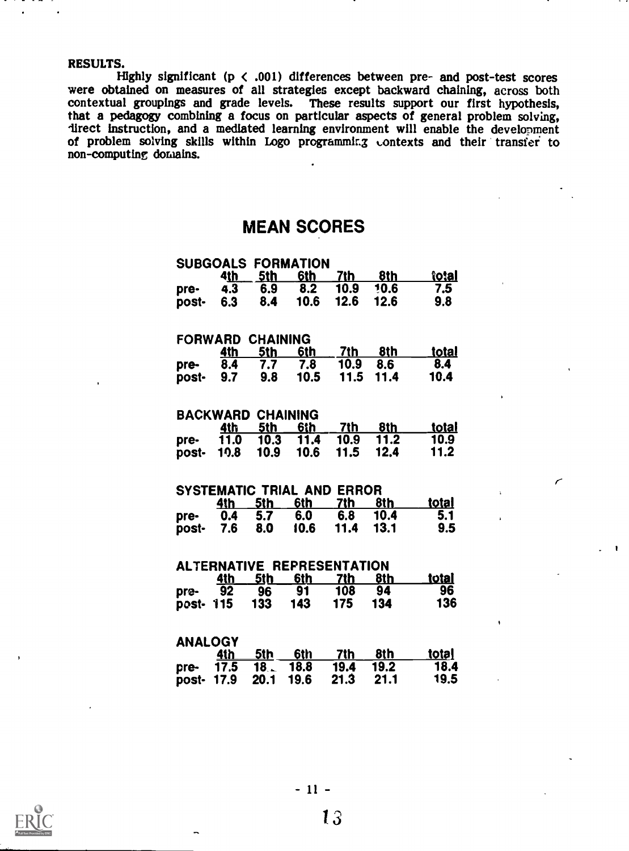RESULTS.<br>Highly significant ( $p \lt 0.001$ ) differences between pre- and post-test scores were obtained on measures of all strategies except backward chaining, across both contextual groupings and grade levels. These results support our first hypothesis,<br>that a pedagogy combining a focus on particular aspects of general problem solving,<br>direct instruction, and a mediated learning environment non-computing domains.

## MEAN SCORES

|                         |             |                          | <b>SUBGOALS FORMATION</b> |                                   |      |              |              |  |  |  |  |
|-------------------------|-------------|--------------------------|---------------------------|-----------------------------------|------|--------------|--------------|--|--|--|--|
|                         | 4 <u>th</u> | <u>5th</u>               | <u>6th</u>                | 7th                               | 8th  | <u>îotal</u> |              |  |  |  |  |
| pre-                    | 4.3         | 6.9                      | 8.2                       | 10.9                              | 10.6 | 7.5          |              |  |  |  |  |
| post-                   | 6.3         | 8.4                      | 10.6                      | 12.6                              | 12.6 | 9.8          |              |  |  |  |  |
|                         |             |                          |                           |                                   |      |              |              |  |  |  |  |
| <b>FORWARD CHAINING</b> |             |                          |                           |                                   |      |              |              |  |  |  |  |
|                         | 4th         | 5th                      | 6th                       | 7th                               | 8th  | <u>total</u> |              |  |  |  |  |
| pre-                    | 8.4         | 7.7                      | 7.8                       | 10.9                              | 8.6  | 8.4          |              |  |  |  |  |
| post-                   | 9.7         | 9.8                      | 10.5                      | 11.5                              | 11.4 | 10.4         |              |  |  |  |  |
|                         |             |                          |                           |                                   |      |              | $\mathbf{r}$ |  |  |  |  |
|                         |             | <b>BACKWARD CHAINING</b> |                           |                                   |      |              |              |  |  |  |  |
|                         | 4th         | 5th                      | 6th                       | 7th                               | 8th  | <u>total</u> |              |  |  |  |  |
| pre-                    | 11.0        | 10.3                     | 11.4                      | 10.9                              | 11.2 | 10.9         |              |  |  |  |  |
| post-                   | 10.8        | 10.9                     | 10.6                      | 11.5                              | 12.4 | 11.2         |              |  |  |  |  |
|                         |             |                          |                           |                                   |      |              |              |  |  |  |  |
|                         |             |                          | SYSTEMATIC TRIAL AND      | <b>ERROR</b>                      |      |              | $\mathbf{r}$ |  |  |  |  |
|                         | <u>4th</u>  | <u>5th</u>               | 6th                       | 7th                               | 8th  | <u>total</u> |              |  |  |  |  |
| pre-                    | 0.4         | 5.7                      | 6.0                       | 6.8                               | 10.4 | 5.1          | ï            |  |  |  |  |
| post-                   | 7.6         | 8.0                      | 10.6                      | 11.4                              | 13.1 | 9.5          |              |  |  |  |  |
|                         |             |                          |                           |                                   |      |              |              |  |  |  |  |
|                         |             |                          |                           | <b>ALTERNATIVE REPRESENTATION</b> |      |              |              |  |  |  |  |
|                         | 4th         | 5th                      | <u>6th</u>                | 7th                               | 8th  | <u>total</u> |              |  |  |  |  |
|                         | 92          | 96                       | 91                        | 108                               | 94   | 96           |              |  |  |  |  |
| pre-                    |             | 133                      | 143                       | 175                               | 134  | 136          |              |  |  |  |  |
| post- 115               |             |                          |                           |                                   |      |              |              |  |  |  |  |
|                         |             |                          |                           |                                   |      |              | ١            |  |  |  |  |
| ANALOGY                 |             |                          |                           |                                   |      |              |              |  |  |  |  |
|                         | <u>4th</u>  | <u>5th</u>               | 6th                       | 7th                               | 8th  | <u>total</u> |              |  |  |  |  |
| pre-                    | 17.5        | 18.1                     | 18.8                      | 19.4                              | 19.2 | 18.4         |              |  |  |  |  |
| post-                   | 17.9        | 20.1                     | 19.6                      | 21.3                              | 21.1 | 19.5         |              |  |  |  |  |

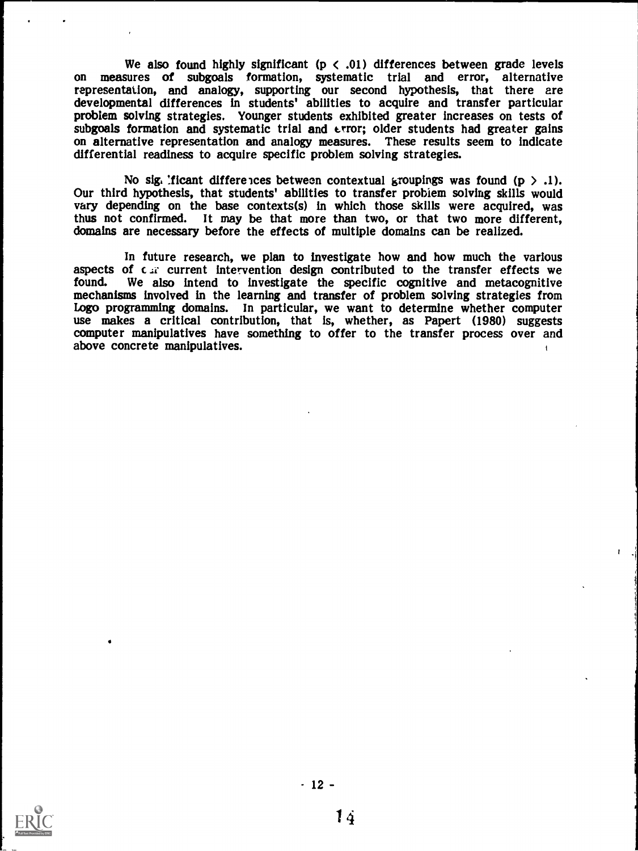We also found highly significant ( $p \lt 0.01$ ) differences between grade levels on measures of subgoals formation, systematic trial and error, alternative representation, and analogy, supporting our second hypothesis, that there are developmental differences in students' abilities to acquire and transfer particular problem solving strategies. Younger students exhibited greater increases on tests of subgoals formation and systematic trial and error; older students had greater gains on alternative representation and analogy measures. T differential readiness to acquire specific problem solving strategies.

No sig. ficant differences between contextual groupings was found  $(p > .1)$ .<br>Our third hypothesis, that students' abilities to transfer problem solving skills would vary depending on the base contexts(s) in which those skil thus not confirmed. It may be that more than two, or that two more different, domains are necessary before the effects of multiple domains can be realized.

In future research, we plan to investigate how and how much the various aspects of  $c \cdot \overline{x}$  current intervention design contributed to the transfer effects we found. We also intend to investigate the specific cognitive mechanisms involved in the learning and transfer of problem solving strategies from Logo programming domains. In particular, we want to determine whether computer use makes a critical contribution, that is, whether, as Papert (1980) suggests computer manipulatives have something to offer to the transfer p above concrete manipulatives.

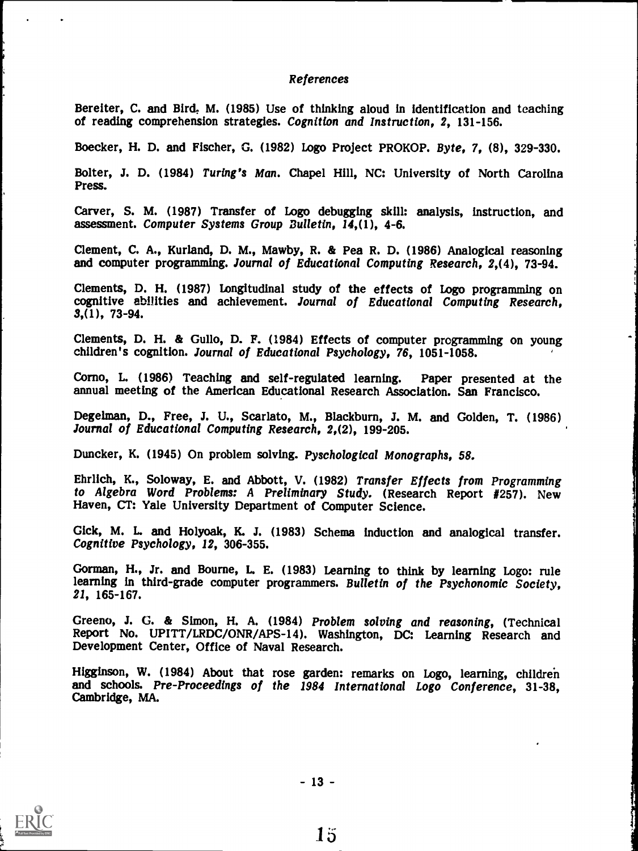### References

Bereiter, C. and Bird. M. (1985) Use of thinking aloud in identification and teaching of reading comprehension strategies. Cognition and Instruction, 2, 131-156.

Boecker, H. D. and Fischer, G. (1982) Logo Project PROKOP. Byte, 7, (8), 329-330.

Bolter, J. D. (1984) Turing's Man. Chapel Hill, NC: University of North Carolina Press.

Carver, S. M. (1987) Transfer of Logo debugging skill: analysis, instruction, and assessment. Computer Systems Group Bulletin, 14,(1), 4-6.

Clement, C. A., Kurland, D. M., Mawby, R. & Pea R. D. (1986) Analogical reasoning and computer programming. Journal of Educational Computing Research, 2,(4), 73-94.

Clements, D. H. (1987) Longitudinal study of the effects of Logo programming on cognitive abilities and achievement. Journal of Educational Computing Research, 3,(1), 73-94.

Clements, D. H. & Gullo, D. F. (1984) Effects of computer programming on young children's cognition. Journal of Educational Psychology, 76, 1051-1058.

Como, L. (1986) Teaching and self-regulated learning. Paper presented at the annual meeting of the American Educational Research Association. San Francisco.

Degelman, D., Free, J. U., Scarlato, M., Blackburn, J. M. and Golden, T. (1986) Journal of Educational Computing Research, 2,(2), 199-205.

Duncker, K. (1945) On problem solving. Pyschological Monographs, 58.

Ehrlich, K., Soloway, E. and Abbott, V. (1982) Transfer Effects from Programming to Algebra Word Problems: A Preliminary Study. (Research Report #257). New Haven, CT: Yale University Department of Computer Science.

Gick, M. L. and Holyoak, K. J. (1983) Schema induction and analogical transfer. Cognitive Psychology, 12, 306-355.

Gorman, H., Jr. and Bourne, L. E. (1983) Learning to think by learning Logo: rule learning in third-grade computer programmers. Bulletin of the Psychonomic Society, 21, 165-167.

Greeno, J. G. & Simon, H. A. (1984) Problem solving and reasoning, (Technical Report No. UPITT/LRDC/ONR/APS-14). Washington, DC: Learning Research and Development Center. Office of Naval Research.

Higginson, W. (1984) About that rose garden: remarks on Logo, learning, children and schools. Pre-Proceedings of the 1984 International Logo Conference, 31-38, Cambridge, MA.



- 13 -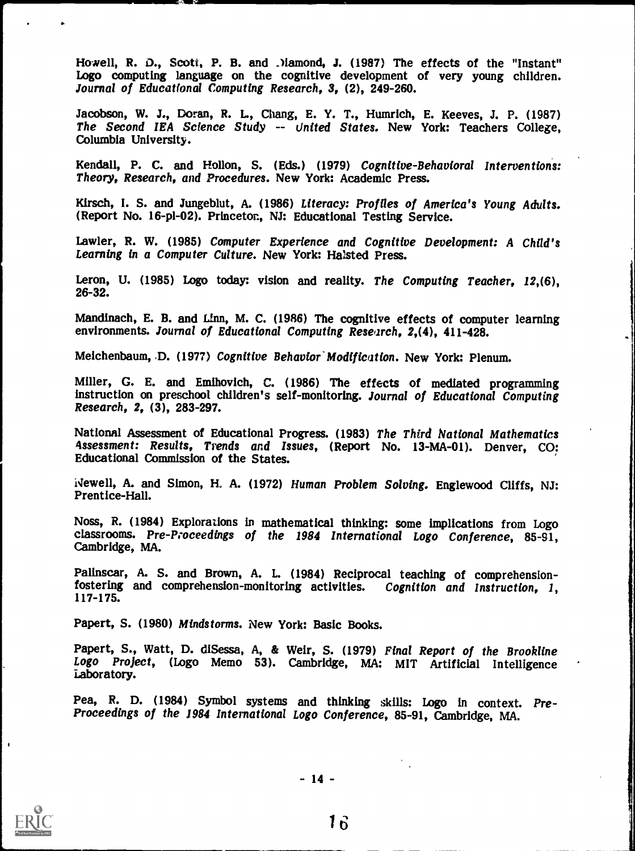Howell, R. D., Scott, P. B. and Mamond, J. (1987) The effects of the "Instant" Logo computing language on the cognitive development of very young children. Journal of Educational Computing Research, 3, (2), 249-260.

Jacobson, W. J., Doran, R. L., Chang, E. Y. T., Humrich, E. Keeves, J. P. (1987) The Second IEA Science Study -- United States. New York: Teachers College, Columbia University.

Kendall, P. C. and Hollon, S. (Eds.) (1979) Cognitive-Behavioral Interventions:<br>Theory, Research, and Procedures. New York: Academic Press.

Kirsch, I. S. and Jungeblut, A. (1986) Literacy: Profiles of America's Young Adults. (Report No. 16-p1-02). Princeton, NJ: Educational Testing Service.

Lawler, R. W. (1985) Computer Experience and Cognitive Development: A Child's Learning in a Computer Culture. New York: Halsted Press.

Leron, U. (1985) Logo today: vision and reality. The Computing Teacher, 12,(6), 26-32.

Mandinach, E. B. and Linn, M. C. (1986) The cognitive effects of computer learning environments. Journal of Educational Computing Research. 2.(4), 411-428.

Meichenbaum, D. (1977) Cognitive Behavior Modification. New York: Plenum.

Miller, G. E. and Emihovich, C. (1986) The effects of mediated programming instruction on preschool children's self-monitoring. Journal of Educational Computing Research, 2, (3), 283-297.

National Assessment of Educational Progress. (1983) The Third National Mathematics 4ssessment: Results, Trends and Issues, (Report No. 13-MA-01). Denver, CO: Educational Commission of the States.

ivewell, A. and Simon, H. A. (1972) Human Problem Solving. Englewood Cliffs, NJ:<br>Prentice-Hall.

Noss, R. (1984) Explorations in mathematical thinking: some implications from Logo classrooms. Pre Proceedings of the <sup>1984</sup> International Logo Conference, 85-91, Cambridge, MA.

Palinscar, A. S. and Brown, A. L. (1984) Reciprocal teaching of comprehensionfostering and comprehension-monitoring activities. Cognition and Instruction, 1, 117-175.

Papert, S. (1980) Mindstorms. New York: Basic Books.

Papert, S., Watt, D. diSessa, A, & Weir, S. (1979) Final Report of the Brookline Logo Project, (Logo Memo 53). Cambridge, MA: MIT Artificial Intelligence Laboratory.

Pea, R. D. (1984) Symbol systems and thinking skills: Logo in context. Pre-Proceedings of the 1984 International Logo Conference, 85-91, Cambridge, MA.